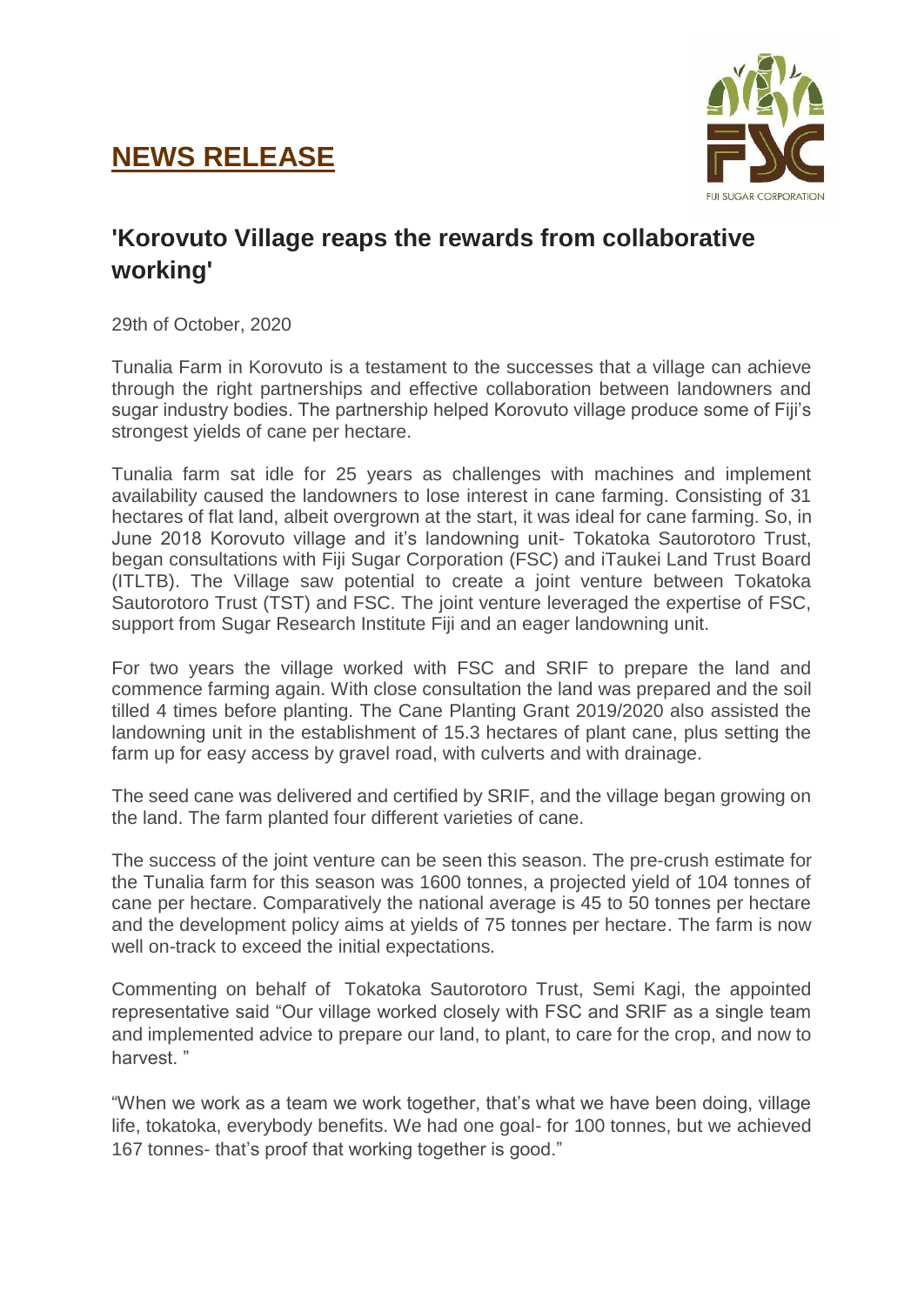## **NEWS RELEASE**



## **'Korovuto Village reaps the rewards from collaborative working'**

29th of October, 2020

Tunalia Farm in Korovuto is a testament to the successes that a village can achieve through the right partnerships and effective collaboration between landowners and sugar industry bodies. The partnership helped Korovuto village produce some of Fiji's strongest yields of cane per hectare.

Tunalia farm sat idle for 25 years as challenges with machines and implement availability caused the landowners to lose interest in cane farming. Consisting of 31 hectares of flat land, albeit overgrown at the start, it was ideal for cane farming. So, in June 2018 Korovuto village and it's landowning unit- Tokatoka Sautorotoro Trust, began consultations with Fiji Sugar Corporation (FSC) and iTaukei Land Trust Board (ITLTB). The Village saw potential to create a joint venture between Tokatoka Sautorotoro Trust (TST) and FSC. The joint venture leveraged the expertise of FSC, support from Sugar Research Institute Fiji and an eager landowning unit.

For two years the village worked with FSC and SRIF to prepare the land and commence farming again. With close consultation the land was prepared and the soil tilled 4 times before planting. The Cane Planting Grant 2019/2020 also assisted the landowning unit in the establishment of 15.3 hectares of plant cane, plus setting the farm up for easy access by gravel road, with culverts and with drainage.

The seed cane was delivered and certified by SRIF, and the village began growing on the land. The farm planted four different varieties of cane.

The success of the joint venture can be seen this season. The pre-crush estimate for the Tunalia farm for this season was 1600 tonnes, a projected yield of 104 tonnes of cane per hectare. Comparatively the national average is 45 to 50 tonnes per hectare and the development policy aims at yields of 75 tonnes per hectare. The farm is now well on-track to exceed the initial expectations.

Commenting on behalf of Tokatoka Sautorotoro Trust, Semi Kagi, the appointed representative said "Our village worked closely with FSC and SRIF as a single team and implemented advice to prepare our land, to plant, to care for the crop, and now to harvest. "

"When we work as a team we work together, that's what we have been doing, village life, tokatoka, everybody benefits. We had one goal- for 100 tonnes, but we achieved 167 tonnes- that's proof that working together is good."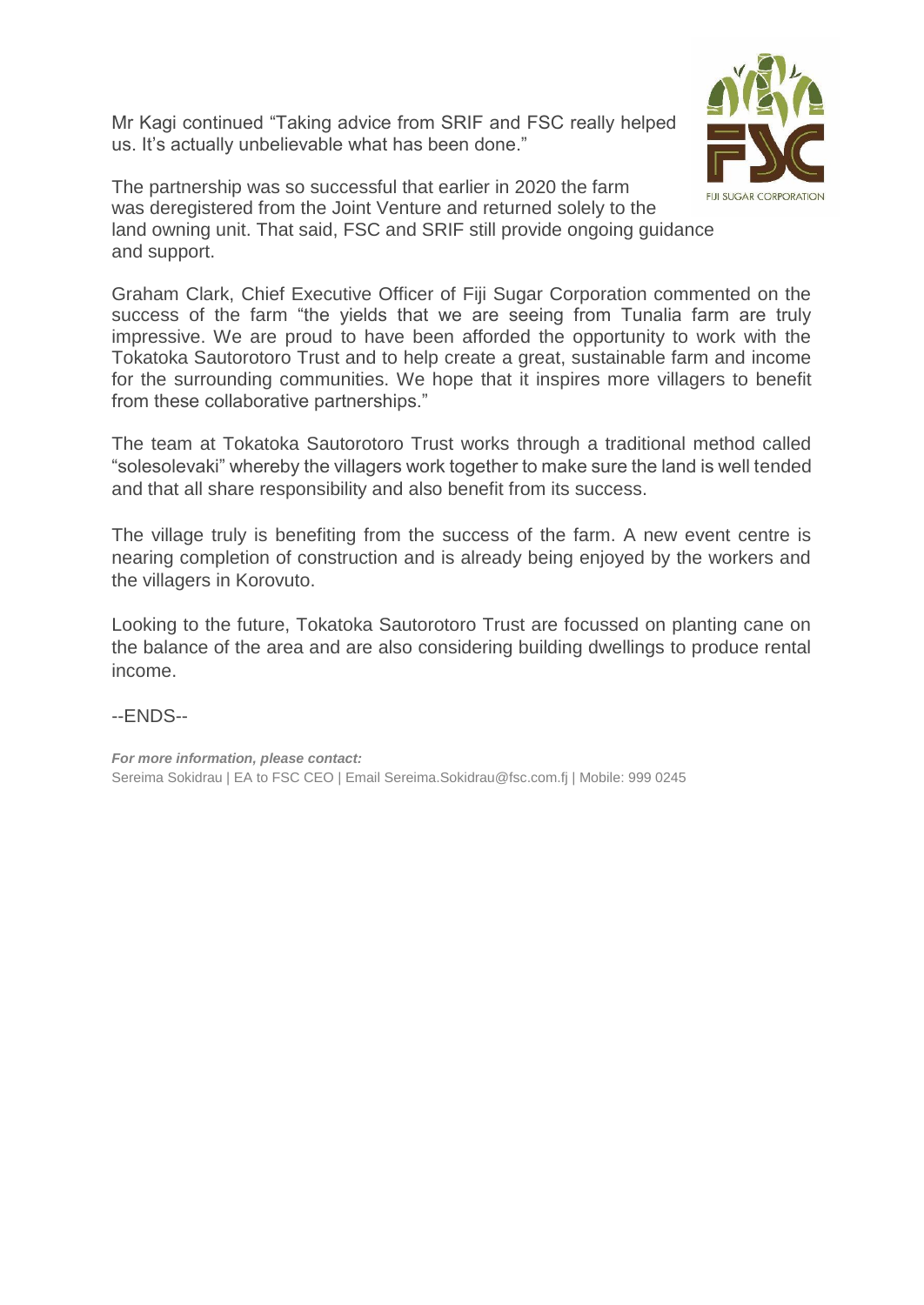Mr Kagi continued "Taking advice from SRIF and FSC really helped us. It's actually unbelievable what has been done."



The partnership was so successful that earlier in 2020 the farm was deregistered from the Joint Venture and returned solely to the land owning unit. That said, FSC and SRIF still provide ongoing guidance and support.

Graham Clark, Chief Executive Officer of Fiji Sugar Corporation commented on the success of the farm "the yields that we are seeing from Tunalia farm are truly impressive. We are proud to have been afforded the opportunity to work with the Tokatoka Sautorotoro Trust and to help create a great, sustainable farm and income for the surrounding communities. We hope that it inspires more villagers to benefit from these collaborative partnerships."

The team at Tokatoka Sautorotoro Trust works through a traditional method called "solesolevaki" whereby the villagers work together to make sure the land is well tended and that all share responsibility and also benefit from its success.

The village truly is benefiting from the success of the farm. A new event centre is nearing completion of construction and is already being enjoyed by the workers and the villagers in Korovuto.

Looking to the future, Tokatoka Sautorotoro Trust are focussed on planting cane on the balance of the area and are also considering building dwellings to produce rental income.

## --ENDS--

*For more information, please contact:* Sereima Sokidrau | EA to FSC CEO | Email Sereima.Sokidrau@fsc.com.fj | Mobile: 999 0245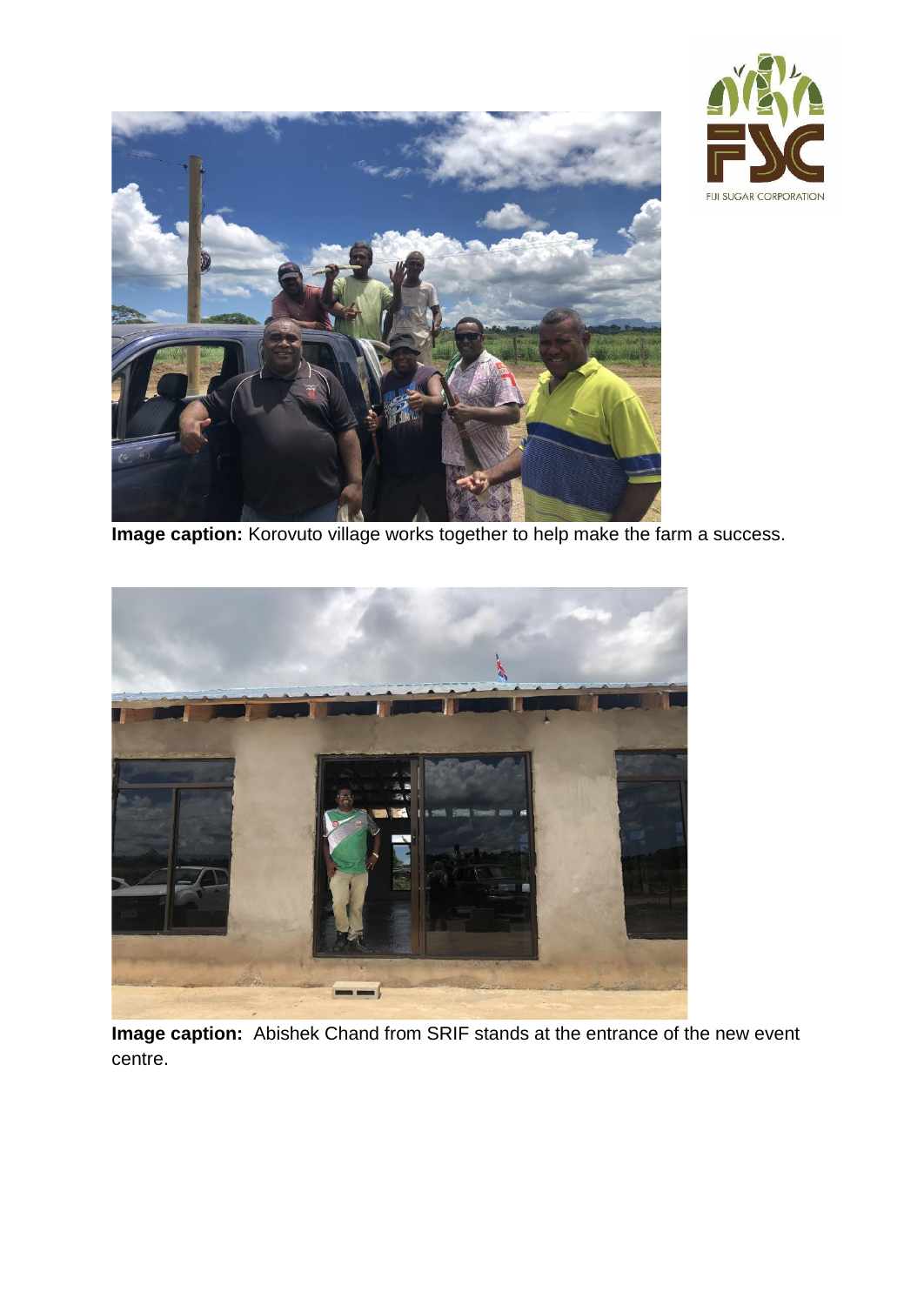



**Image caption:** Korovuto village works together to help make the farm a success.



**Image caption:** Abishek Chand from SRIF stands at the entrance of the new event centre.